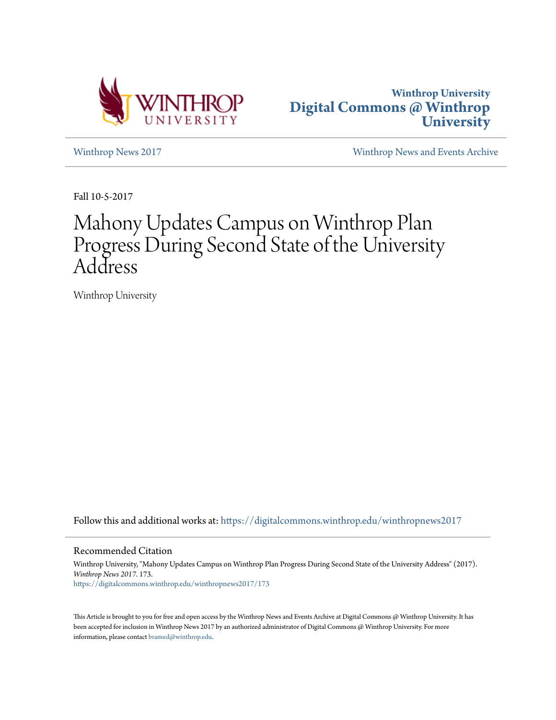



[Winthrop News 2017](https://digitalcommons.winthrop.edu/winthropnews2017?utm_source=digitalcommons.winthrop.edu%2Fwinthropnews2017%2F173&utm_medium=PDF&utm_campaign=PDFCoverPages) [Winthrop News and Events Archive](https://digitalcommons.winthrop.edu/winthropnewsarchives?utm_source=digitalcommons.winthrop.edu%2Fwinthropnews2017%2F173&utm_medium=PDF&utm_campaign=PDFCoverPages)

Fall 10-5-2017

## Mahony Updates Campus on Winthrop Plan Progress During Second State of the University Address

Winthrop University

Follow this and additional works at: [https://digitalcommons.winthrop.edu/winthropnews2017](https://digitalcommons.winthrop.edu/winthropnews2017?utm_source=digitalcommons.winthrop.edu%2Fwinthropnews2017%2F173&utm_medium=PDF&utm_campaign=PDFCoverPages)

Recommended Citation

Winthrop University, "Mahony Updates Campus on Winthrop Plan Progress During Second State of the University Address" (2017). *Winthrop News 2017*. 173. [https://digitalcommons.winthrop.edu/winthropnews2017/173](https://digitalcommons.winthrop.edu/winthropnews2017/173?utm_source=digitalcommons.winthrop.edu%2Fwinthropnews2017%2F173&utm_medium=PDF&utm_campaign=PDFCoverPages)

This Article is brought to you for free and open access by the Winthrop News and Events Archive at Digital Commons @ Winthrop University. It has been accepted for inclusion in Winthrop News 2017 by an authorized administrator of Digital Commons @ Winthrop University. For more information, please contact [bramed@winthrop.edu](mailto:bramed@winthrop.edu).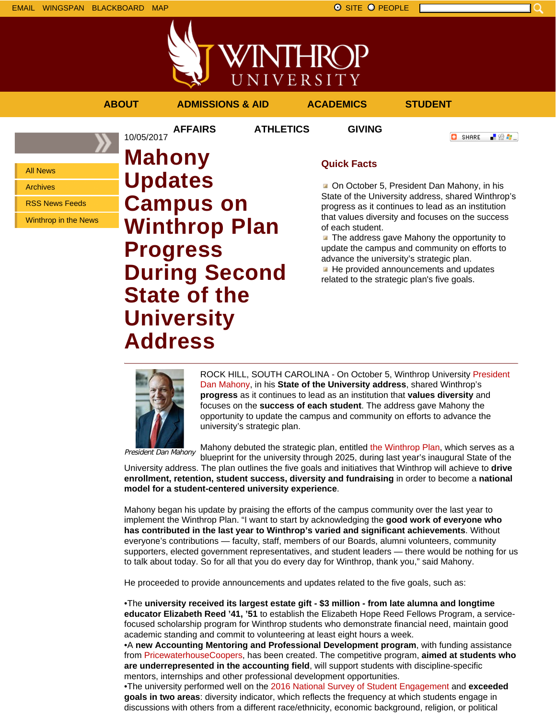EMAIL WINGSPAN BLACKBOARD MAP SITE PEOPLE SAND A SITE PEOPLE

All News Archives

RSS News Feeds

Winthrop in the News



## **ABOUT ADMISSIONS & AID ACADEMICS STUDENT AFFAIRS ATHLETICS GIVING O** SHARE 「验費」 **Mahony Quick Facts**

On October 5, President Dan Mahony, in his State of the University address, shared Winthrop's progress as it continues to lead as an institution that values diversity and focuses on the success of each student.

 $\blacksquare$  The address gave Mahony the opportunity to update the campus and community on efforts to advance the university's strategic plan.

He provided announcements and updates related to the strategic plan's five goals.

10/05/2017

**Updates**

**Progress**

**Campus on**

**State of the**

**University**

**Address**

**Winthrop Plan**

**During Second**

ROCK HILL, SOUTH CAROLINA - On October 5, Winthrop University President Dan Mahony, in his **State of the University address**, shared Winthrop's **progress** as it continues to lead as an institution that **values diversity** and focuses on the **success of each student**. The address gave Mahony the opportunity to update the campus and community on efforts to advance the university's strategic plan.

President Dan Mahony

Mahony debuted the strategic plan, entitled the Winthrop Plan, which serves as a blueprint for the university through 2025, during last year's inaugural State of the

University address. The plan outlines the five goals and initiatives that Winthrop will achieve to **drive enrollment, retention, student success, diversity and fundraising** in order to become a **national model for a student-centered university experience**.

Mahony began his update by praising the efforts of the campus community over the last year to implement the Winthrop Plan. "I want to start by acknowledging the **good work of everyone who has contributed in the last year to Winthrop's varied and significant achievements**. Without everyone's contributions — faculty, staff, members of our Boards, alumni volunteers, community supporters, elected government representatives, and student leaders — there would be nothing for us to talk about today. So for all that you do every day for Winthrop, thank you," said Mahony.

He proceeded to provide announcements and updates related to the five goals, such as:

•The **university received its largest estate gift - \$3 million - from late alumna and longtime educator Elizabeth Reed '41, '51** to establish the Elizabeth Hope Reed Fellows Program, a servicefocused scholarship program for Winthrop students who demonstrate financial need, maintain good academic standing and commit to volunteering at least eight hours a week.

•A **new Accounting Mentoring and Professional Development program**, with funding assistance from PricewaterhouseCoopers, has been created. The competitive program, **aimed at students who are underrepresented in the accounting field**, will support students with discipline-specific mentors, internships and other professional development opportunities.

•The university performed well on the 2016 National Survey of Student Engagement and **exceeded goals in two areas**: diversity indicator, which reflects the frequency at which students engage in discussions with others from a different race/ethnicity, economic background, religion, or political